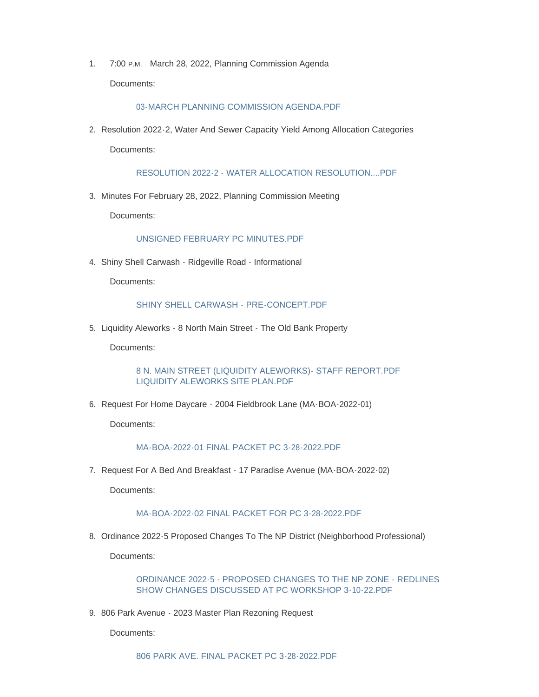1. 7:00 P.M. March 28, 2022, Planning Commission Agenda Documents:

## [03-MARCH PLANNING COMMISSION AGENDA.PDF](https://www.mountairymd.org/AgendaCenter/ViewFile/Item/1645?fileID=36892)

2. Resolution 2022-2, Water And Sewer Capacity Yield Among Allocation Categories

Documents:

[RESOLUTION 2022-2 - WATER ALLOCATION RESOLUTION....PDF](https://www.mountairymd.org/AgendaCenter/ViewFile/Item/1659?fileID=40721)

3. Minutes For February 28, 2022, Planning Commission Meeting

Documents:

## [UNSIGNED FEBRUARY PC MINUTES.PDF](https://www.mountairymd.org/AgendaCenter/ViewFile/Item/1646?fileID=36893)

4. Shiny Shell Carwash - Ridgeville Road - Informational

Documents:

## [SHINY SHELL CARWASH - PRE-CONCEPT.PDF](https://www.mountairymd.org/AgendaCenter/ViewFile/Item/1647?fileID=36894)

5. Liquidity Aleworks - 8 North Main Street - The Old Bank Property

Documents:

[8 N. MAIN STREET \(LIQUIDITY ALEWORKS\)- STAFF REPORT.PDF](https://www.mountairymd.org/AgendaCenter/ViewFile/Item/1648?fileID=36895) [LIQUIDITY ALEWORKS SITE PLAN.PDF](https://www.mountairymd.org/AgendaCenter/ViewFile/Item/1648?fileID=36896)

6. Request For Home Daycare - 2004 Fieldbrook Lane (MA-BOA-2022-01)

Documents:

[MA-BOA-2022-01 FINAL PACKET PC 3-28-2022.PDF](https://www.mountairymd.org/AgendaCenter/ViewFile/Item/1649?fileID=36897)

7. Request For A Bed And Breakfast - 17 Paradise Avenue (MA-BOA-2022-02)

Documents:

## [MA-BOA-2022-02 FINAL PACKET FOR PC 3-28-2022.PDF](https://www.mountairymd.org/AgendaCenter/ViewFile/Item/1650?fileID=36898)

8. Ordinance 2022-5 Proposed Changes To The NP District (Neighborhood Professional)

Documents:

[ORDINANCE 2022-5 - PROPOSED CHANGES TO THE NP ZONE - REDLINES](https://www.mountairymd.org/AgendaCenter/ViewFile/Item/1651?fileID=36899)  SHOW CHANGES DISCUSSED AT PC WORKSHOP 3-10-22.PDF

9. 806 Park Avenue - 2023 Master Plan Rezoning Request

Documents: